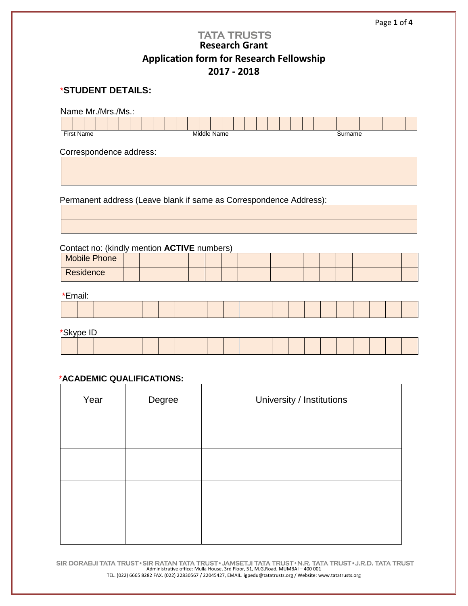| <b>TATA TRUSTS</b><br><b>Research Grant</b><br><b>Application form for Research Fellowship</b>                                           |                                  |  |  |  |  |                                       |  |  |  |  |  |  |  |         |  |  |  |  |
|------------------------------------------------------------------------------------------------------------------------------------------|----------------------------------|--|--|--|--|---------------------------------------|--|--|--|--|--|--|--|---------|--|--|--|--|
|                                                                                                                                          | 2017 - 2018<br>*STUDENT DETAILS: |  |  |  |  |                                       |  |  |  |  |  |  |  |         |  |  |  |  |
| Name Mr./Mrs./Ms.:<br><b>First Name</b>                                                                                                  |                                  |  |  |  |  | Middle Name                           |  |  |  |  |  |  |  | Surname |  |  |  |  |
| Correspondence address:                                                                                                                  |                                  |  |  |  |  |                                       |  |  |  |  |  |  |  |         |  |  |  |  |
|                                                                                                                                          |                                  |  |  |  |  |                                       |  |  |  |  |  |  |  |         |  |  |  |  |
| Permanent address (Leave blank if same as Correspondence Address):<br>Contact no: (kindly mention ACTIVE numbers)<br><b>Mobile Phone</b> |                                  |  |  |  |  |                                       |  |  |  |  |  |  |  |         |  |  |  |  |
| Residence                                                                                                                                |                                  |  |  |  |  |                                       |  |  |  |  |  |  |  |         |  |  |  |  |
| *Email:                                                                                                                                  |                                  |  |  |  |  |                                       |  |  |  |  |  |  |  |         |  |  |  |  |
|                                                                                                                                          |                                  |  |  |  |  |                                       |  |  |  |  |  |  |  |         |  |  |  |  |
| *Skype ID                                                                                                                                |                                  |  |  |  |  |                                       |  |  |  |  |  |  |  |         |  |  |  |  |
|                                                                                                                                          |                                  |  |  |  |  |                                       |  |  |  |  |  |  |  |         |  |  |  |  |
| *ACADEMIC QUALIFICATIONS:                                                                                                                |                                  |  |  |  |  |                                       |  |  |  |  |  |  |  |         |  |  |  |  |
| $\lambda$ / $\sim$ $\sim$ $\sim$<br>$\sum$ $\sum$ $\sum$ $\sum$ $\sum$ $\sum$                                                            |                                  |  |  |  |  | وسيحتان والقسيران والتستحدث والمستنبذ |  |  |  |  |  |  |  |         |  |  |  |  |

Page **1** of **4**

| Year | Degree | University / Institutions |
|------|--------|---------------------------|
|      |        |                           |
|      |        |                           |
|      |        |                           |
|      |        |                           |

SIR DORABJI TATA TRUST • SIR RATAN TATA TRUST • JAMSETJI TATA TRUST • N.R. TATA TRUST • J.R.D. TATA TRUST • Administrative office: Mulla House, 3rd Floor, 51, M.G.Road, MUMBAI – 400 001 TEL. (022) 6665 8282 FAX. (022) 22830567 / 22045427, EMAIL. igpedu@tatatrusts.org / Website: www.tatatrusts.org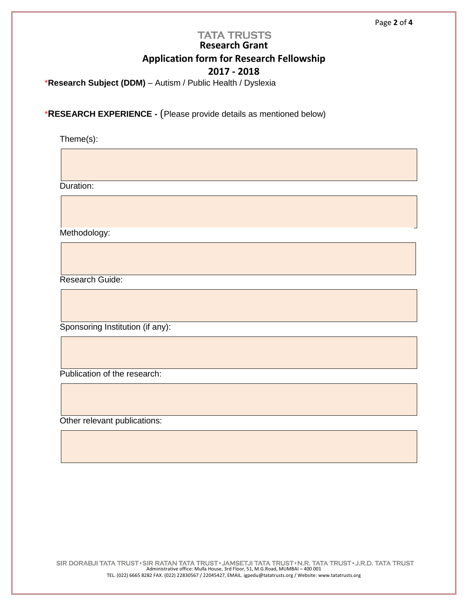### **TATA TRUSTS Research Grant Application form for Research Fellowship 2017 - 2018**

\***Research Subject (DDM)** – Autism / Public Health / Dyslexia

\***RESEARCH EXPERIENCE -** (Please provide details as mentioned below)

Theme(s):

Duration:

Methodology:

Research Guide:

Sponsoring Institution (if any):

Publication of the research:

Other relevant publications: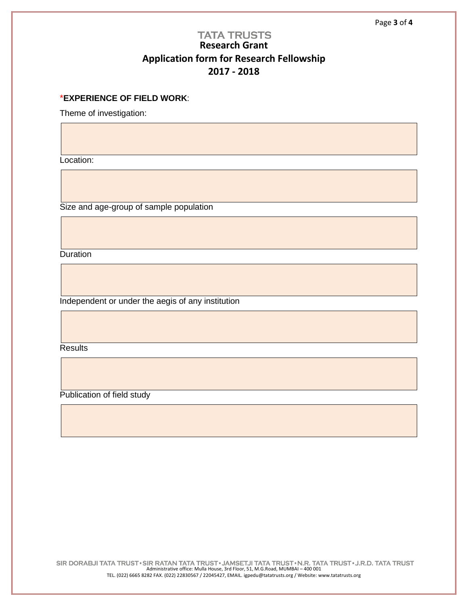# **TATA TRUSTS Research Grant Application form for Research Fellowship 2017 - 2018**

### \***EXPERIENCE OF FIELD WORK**:

Theme of investigation:

Location:

Size and age-group of sample population

Duration

Independent or under the aegis of any institution

**Results** 

Publication of field study